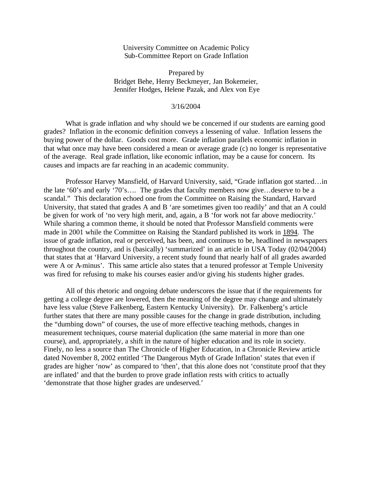University Committee on Academic Policy Sub-Committee Report on Grade Inflation

Prepared by Bridget Behe, Henry Beckmeyer, Jan Bokemeier, Jennifer Hodges, Helene Pazak, and Alex von Eye

#### 3/16/2004

What is grade inflation and why should we be concerned if our students are earning good grades? Inflation in the economic definition conveys a lessening of value. Inflation lessens the buying power of the dollar. Goods cost more. Grade inflation parallels economic inflation in that what once may have been considered a mean or average grade (c) no longer is representative of the average. Real grade inflation, like economic inflation, may be a cause for concern. Its causes and impacts are far reaching in an academic community.

Professor Harvey Mansfield, of Harvard University, said, "Grade inflation got started…in the late '60's and early '70's…. The grades that faculty members now give…deserve to be a scandal." This declaration echoed one from the Committee on Raising the Standard, Harvard University, that stated that grades A and B 'are sometimes given too readily' and that an A could be given for work of 'no very high merit, and, again, a B 'for work not far above mediocrity.' While sharing a common theme, it should be noted that Professor Mansfield comments were made in 2001 while the Committee on Raising the Standard published its work in 1894. The issue of grade inflation, real or perceived, has been, and continues to be, headlined in newspapers throughout the country, and is (basically) 'summarized' in an article in USA Today (02/04/2004) that states that at 'Harvard University, a recent study found that nearly half of all grades awarded were A or A-minus'. This same article also states that a tenured professor at Temple University was fired for refusing to make his courses easier and/or giving his students higher grades.

All of this rhetoric and ongoing debate underscores the issue that if the requirements for getting a college degree are lowered, then the meaning of the degree may change and ultimately have less value (Steve Falkenberg, Eastern Kentucky University). Dr. Falkenberg's article further states that there are many possible causes for the change in grade distribution, including the "dumbing down" of courses, the use of more effective teaching methods, changes in measurement techniques, course material duplication (the same material in more than one course), and, appropriately, a shift in the nature of higher education and its role in society. Finely, no less a source than The Chronicle of Higher Education, in a Chronicle Review article dated November 8, 2002 entitled 'The Dangerous Myth of Grade Inflation' states that even if grades are higher 'now' as compared to 'then', that this alone does not 'constitute proof that they are inflated' and that the burden to prove grade inflation rests with critics to actually 'demonstrate that those higher grades are undeserved.'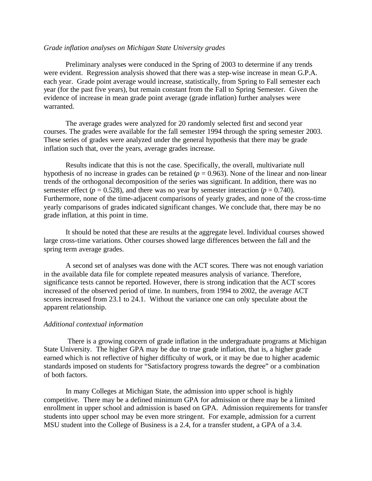#### *Grade inflation analyses on Michigan State University grades*

Preliminary analyses were conduced in the Spring of 2003 to determine if any trends were evident. Regression analysis showed that there was a step-wise increase in mean G.P.A. each year. Grade point average would increase, statistically, from Spring to Fall semester each year (for the past five years), but remain constant from the Fall to Spring Semester. Given the evidence of increase in mean grade point average (grade inflation) further analyses were warranted.

The average grades were analyzed for 20 randomly selected first and second year courses. The grades were available for the fall semester 1994 through the spring semester 2003. These series of grades were analyzed under the general hypothesis that there may be grade inflation such that, over the years, average grades increase.

Results indicate that this is not the case. Specifically, the overall, multivariate null hypothesis of no increase in grades can be retained  $(p = 0.963)$ . None of the linear and non-linear trends of the orthogonal decomposition of the series was significant. In addition, there was no semester effect ( $p = 0.528$ ), and there was no year by semester interaction ( $p = 0.740$ ). Furthermore, none of the time-adjacent comparisons of yearly grades, and none of the cross-time yearly comparisons of grades indicated significant changes. We conclude that, there may be no grade inflation, at this point in time.

It should be noted that these are results at the aggregate level. Individual courses showed large cross-time variations. Other courses showed large differences between the fall and the spring term average grades.

A second set of analyses was done with the ACT scores. There was not enough variation in the available data file for complete repeated measures analysis of variance. Therefore, significance tests cannot be reported. However, there is strong indication that the ACT scores increased of the observed period of time. In numbers, from 1994 to 2002, the average ACT scores increased from 23.1 to 24.1. Without the variance one can only speculate about the apparent relationship.

#### *Additional contextual information*

 There is a growing concern of grade inflation in the undergraduate programs at Michigan State University. The higher GPA may be due to true grade inflation, that is, a higher grade earned which is not reflective of higher difficulty of work, or it may be due to higher academic standards imposed on students for "Satisfactory progress towards the degree" or a combination of both factors.

In many Colleges at Michigan State, the admission into upper school is highly competitive. There may be a defined minimum GPA for admission or there may be a limited enrollment in upper school and admission is based on GPA. Admission requirements for transfer students into upper school may be even more stringent. For example, admission for a current MSU student into the College of Business is a 2.4, for a transfer student, a GPA of a 3.4.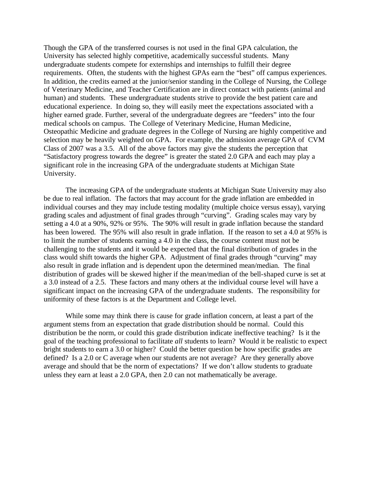Though the GPA of the transferred courses is not used in the final GPA calculation, the University has selected highly competitive, academically successful students. Many undergraduate students compete for externships and internships to fulfill their degree requirements. Often, the students with the highest GPAs earn the "best" off campus experiences. In addition, the credits earned at the junior/senior standing in the College of Nursing, the College of Veterinary Medicine, and Teacher Certification are in direct contact with patients (animal and human) and students. These undergraduate students strive to provide the best patient care and educational experience. In doing so, they will easily meet the expectations associated with a higher earned grade. Further, several of the undergraduate degrees are "feeders" into the four medical schools on campus. The College of Veterinary Medicine, Human Medicine, Osteopathic Medicine and graduate degrees in the College of Nursing are highly competitive and selection may be heavily weighted on GPA. For example, the admission average GPA of CVM Class of 2007 was a 3.5. All of the above factors may give the students the perception that "Satisfactory progress towards the degree" is greater the stated 2.0 GPA and each may play a significant role in the increasing GPA of the undergraduate students at Michigan State University.

The increasing GPA of the undergraduate students at Michigan State University may also be due to real inflation. The factors that may account for the grade inflation are embedded in individual courses and they may include testing modality (multiple choice versus essay), varying grading scales and adjustment of final grades through "curving". Grading scales may vary by setting a 4.0 at a 90%, 92% or 95%. The 90% will result in grade inflation because the standard has been lowered. The 95% will also result in grade inflation. If the reason to set a 4.0 at 95% is to limit the number of students earning a 4.0 in the class, the course content must not be challenging to the students and it would be expected that the final distribution of grades in the class would shift towards the higher GPA. Adjustment of final grades through "curving" may also result in grade inflation and is dependent upon the determined mean/median. The final distribution of grades will be skewed higher if the mean/median of the bell-shaped curve is set at a 3.0 instead of a 2.5. These factors and many others at the individual course level will have a significant impact on the increasing GPA of the undergraduate students. The responsibility for uniformity of these factors is at the Department and College level.

While some may think there is cause for grade inflation concern, at least a part of the argument stems from an expectation that grade distribution should be normal. Could this distribution be the norm, or could this grade distribution indicate ineffective teaching? Is it the goal of the teaching professional to facilitate *all* students to learn? Would it be realistic to expect bright students to earn a 3.0 or higher? Could the better question be how specific grades are defined? Is a 2.0 or C average when our students are not average? Are they generally above average and should that be the norm of expectations? If we don't allow students to graduate unless they earn at least a 2.0 GPA, then 2.0 can not mathematically be average.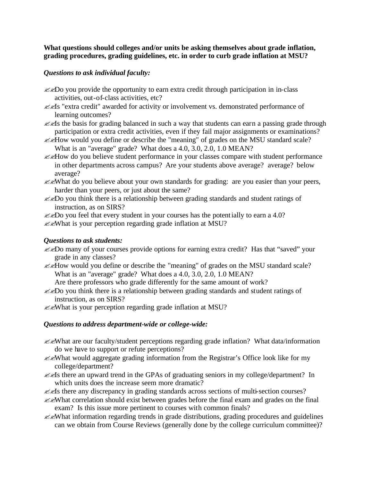### **What questions should colleges and/or units be asking themselves about grade inflation, grading procedures, grading guidelines, etc. in order to curb grade inflation at MSU?**

## *Questions to ask individual faculty:*

- $\mathcal{L}$  $\mathcal{L}$  Do you provide the opportunity to earn extra credit through participation in in-class activities, out-of-class activities, etc?
- **EXALES** "extra credit" awarded for activity or involvement vs. demonstrated performance of learning outcomes?
- $\ll$  is the basis for grading balanced in such a way that students can earn a passing grade through participation or extra credit activities, even if they fail major assignments or examinations?
- ??How would you define or describe the "meaning" of grades on the MSU standard scale? What is an "average" grade? What does a 4.0, 3.0, 2.0, 1.0 MEAN?
- ??How do you believe student performance in your classes compare with student performance in other departments across campus? Are your students above average? average? below average?
- ??What do you believe about your own standards for grading: are you easier than your peers, harder than your peers, or just about the same?
- $\mathcal{L}$   $\mathcal{L}$   $\mathcal{L}$  bo you think there is a relationship between grading standards and student ratings of instruction, as on SIRS?

 $\mathcal{L}$   $\mathcal{L}$  Do you feel that every student in your courses has the potentially to earn a 4.0?

??What is your perception regarding grade inflation at MSU?

### *Questions to ask students:*

- ??Do many of your courses provide options for earning extra credit? Has that "saved" your grade in any classes?
- ??How would you define or describe the "meaning" of grades on the MSU standard scale? What is an "average" grade? What does a 4.0, 3.0, 2.0, 1.0 MEAN?

Are there professors who grade differently for the same amount of work?

- $\mathcal{L}$   $\mathcal{L}$  Do you think there is a relationship between grading standards and student ratings of instruction, as on SIRS?
- $\mathcal{Z}$  Messax Sextember 2011 is your perception regarding grade inflation at MSU?

### *Questions to address department-wide or college-wide:*

- $\mathcal{L}$  Mess are our faculty/student perceptions regarding grade inflation? What data/information do we have to support or refute perceptions?
- $\mathcal{Z}$  Mess would aggregate grading information from the Registrar's Office look like for my college/department?
- $\ll$  is there an upward trend in the GPAs of graduating seniors in my college/department? In which units does the increase seem more dramatic?
- $\ll$  is there any discrepancy in grading standards across sections of multi-section courses?
- ??What correlation should exist between grades before the final exam and grades on the final exam? Is this issue more pertinent to courses with common finals?
- $\mathcal{L}$  Mess in grading trends in grade distributions, grading procedures and guidelines can we obtain from Course Reviews (generally done by the college curriculum committee)?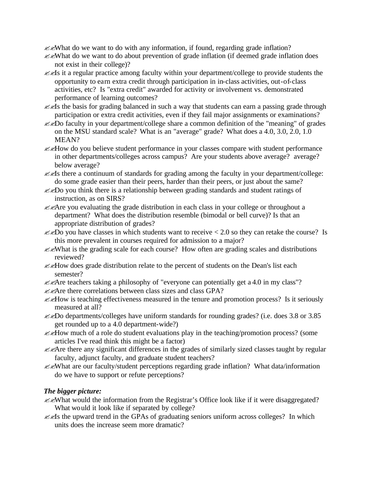$\mathcal{L}$  Mess want to do with any information, if found, regarding grade inflation?

- ??What do we want to do about prevention of grade inflation (if deemed grade inflation does not exist in their college)?
- $\ll$  it a regular practice among faculty within your department/college to provide students the opportunity to earn extra credit through participation in in-class activities, out-of-class activities, etc? Is "extra credit" awarded for activity or involvement vs. demonstrated performance of learning outcomes?
- $\ll$  is the basis for grading balanced in such a way that students can earn a passing grade through participation or extra credit activities, even if they fail major assignments or examinations?
- $\mathcal{L}$   $\mathcal{L}$  faculty in your department/college share a common definition of the "meaning" of grades on the MSU standard scale? What is an "average" grade? What does a 4.0, 3.0, 2.0, 1.0 MEAN?
- ??How do you believe student performance in your classes compare with student performance in other departments/colleges across campus? Are your students above average? average? below average?
- $\ll$  is there a continuum of standards for grading among the faculty in your department/college: do some grade easier than their peers, harder than their peers, or just about the same?
- $\mathcal{L}$   $\mathcal{L}$   $\mathcal{D}$  you think there is a relationship between grading standards and student ratings of instruction, as on SIRS?
- ??Are you evaluating the grade distribution in each class in your college or throughout a department? What does the distribution resemble (bimodal or bell curve)? Is that an appropriate distribution of grades?
- $\ll$ Do you have classes in which students want to receive < 2.0 so they can retake the course? Is this more prevalent in courses required for admission to a major?
- $\mathcal{L}$  Mess  $\mathcal{L}$  is the grading scale for each course? How often are grading scales and distributions reviewed?
- ??How does grade distribution relate to the percent of students on the Dean's list each semester?
- $\mathcal{L}$  Are teachers taking a philosophy of "everyone can potentially get a 4.0 in my class"?
- ??Are there correlations between class sizes and class GPA?
- $\mathcal{L}\ll$ How is teaching effectiveness measured in the tenure and promotion process? Is it seriously measured at all?
- ??Do departments/colleges have uniform standards for rounding grades? (i.e. does 3.8 or 3.85 get rounded up to a 4.0 department-wide?)
- $\mathcal{L}\ll$ How much of a role do student evaluations play in the teaching/promotion process? (some articles I've read think this might be a factor)
- $\mathcal{Z}$  Are there any significant differences in the grades of similarly sized classes taught by regular faculty, adjunct faculty, and graduate student teachers?
- ??What are our faculty/student perceptions regarding grade inflation? What data/information do we have to support or refute perceptions?

# *The bigger picture:*

- ??What would the information from the Registrar's Office look like if it were disaggregated? What would it look like if separated by college?
- $\ll$  is the upward trend in the GPAs of graduating seniors uniform across colleges? In which units does the increase seem more dramatic?